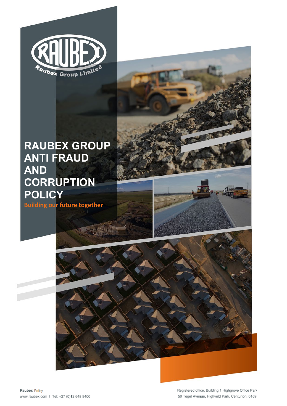

# **RAUBEX GROUP AND**   $CORRUPTION$ **Building our future together POLICY RAUBEX GROUP ANTI FRAUD**

**Building our future together**

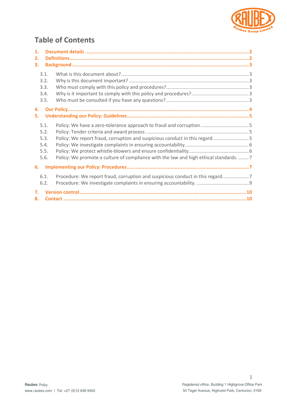

# **Table of Contents**

| 1. |                                      |                                                                                     |  |
|----|--------------------------------------|-------------------------------------------------------------------------------------|--|
| 2. |                                      |                                                                                     |  |
| 3. |                                      |                                                                                     |  |
|    | 3.1.<br>3.2.<br>3.3.<br>3.4.<br>3.5. |                                                                                     |  |
| 4. |                                      |                                                                                     |  |
| 5. |                                      |                                                                                     |  |
|    |                                      |                                                                                     |  |
|    | 5.1.                                 |                                                                                     |  |
|    | 5.2.                                 |                                                                                     |  |
|    | 5.3.                                 | Policy: We report fraud, corruption and suspicious conduct in this regard5          |  |
|    | 5.4.                                 |                                                                                     |  |
|    | 5.5.                                 |                                                                                     |  |
|    | 5.6.                                 | Policy: We promote a culture of compliance with the law and high ethical standards7 |  |
| 6. |                                      |                                                                                     |  |
|    | 6.1.                                 | Procedure: We report fraud, corruption and suspicious conduct in this regard7       |  |
|    | 6.2.                                 |                                                                                     |  |
| 7. |                                      |                                                                                     |  |
| 8. |                                      |                                                                                     |  |
|    |                                      |                                                                                     |  |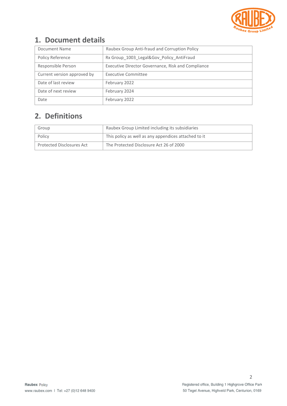

# <span id="page-2-0"></span>**1. Document details**

| Document Name               | Raubex Group Anti-fraud and Corruption Policy      |  |  |
|-----------------------------|----------------------------------------------------|--|--|
| Policy Reference            | Rx Group_1003_Legal&Gov_Policy_AntiFraud           |  |  |
| Responsible Person          | Executive Director Governance, Risk and Compliance |  |  |
| Current version approved by | <b>Executive Committee</b>                         |  |  |
| Date of last review         | February 2022                                      |  |  |
| Date of next review         | February 2024                                      |  |  |
| Date                        | February 2022                                      |  |  |

# <span id="page-2-1"></span>**2. Definitions**

| Group                     | Raubex Group Limited including its subsidiaries      |  |
|---------------------------|------------------------------------------------------|--|
| Policy                    | This policy as well as any appendices attached to it |  |
| Protected Disclosures Act | The Protected Disclosure Act 26 of 2000              |  |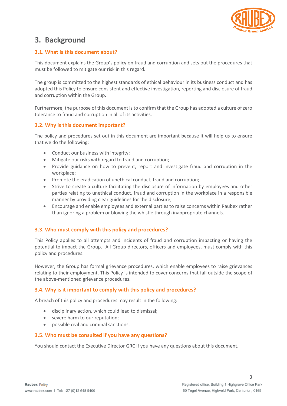

# <span id="page-3-0"></span>**3. Background**

#### <span id="page-3-1"></span>**3.1. What is this document about?**

This document explains the Group's policy on fraud and corruption and sets out the procedures that must be followed to mitigate our risk in this regard.

The group is committed to the highest standards of ethical behaviour in its business conduct and has adopted this Policy to ensure consistent and effective investigation, reporting and disclosure of fraud and corruption within the Group.

Furthermore, the purpose of this document is to confirm that the Group has adopted a culture of zero tolerance to fraud and corruption in all of its activities.

#### <span id="page-3-2"></span>**3.2. Why is this document important?**

The policy and procedures set out in this document are important because it will help us to ensure that we do the following:

- Conduct our business with integrity;
- Mitigate our risks with regard to fraud and corruption;
- Provide guidance on how to prevent, report and investigate fraud and corruption in the workplace;
- Promote the eradication of unethical conduct, fraud and corruption;
- Strive to create a culture facilitating the disclosure of information by employees and other parties relating to unethical conduct, fraud and corruption in the workplace in a responsible manner by providing clear guidelines for the disclosure;
- Encourage and enable employees and external parties to raise concerns within Raubex rather than ignoring a problem or blowing the whistle through inappropriate channels.

#### <span id="page-3-3"></span>**3.3. Who must comply with this policy and procedures?**

This Policy applies to all attempts and incidents of fraud and corruption impacting or having the potential to impact the Group. All Group directors, officers and employees, must comply with this policy and procedures.

However, the Group has formal grievance procedures, which enable employees to raise grievances relating to their employment. This Policy is intended to cover concerns that fall outside the scope of the above-mentioned grievance procedures.

#### <span id="page-3-4"></span>**3.4. Why is it important to comply with this policy and procedures?**

A breach of this policy and procedures may result in the following:

- disciplinary action, which could lead to dismissal;
- severe harm to our reputation;
- possible civil and criminal sanctions.

#### <span id="page-3-5"></span>**3.5. Who must be consulted if you have any questions?**

You should contact the Executive Director GRC if you have any questions about this document.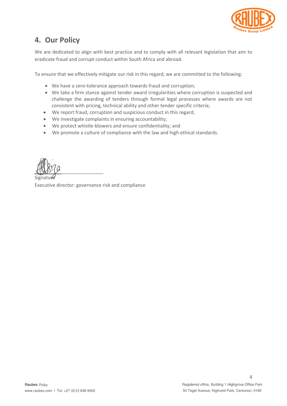

# <span id="page-4-0"></span>**4. Our Policy**

We are dedicated to align with best practice and to comply with all relevant legislation that aim to eradicate fraud and corrupt conduct within South Africa and abroad.

To ensure that we effectively mitigate our risk in this regard, we are committed to the following:

- We have a zero-tolerance approach towards fraud and corruption;
- We take a firm stance against tender award irregularities where corruption is suspected and challenge the awarding of tenders through formal legal processes where awards are not consistent with pricing, technical ability and other tender specific criteria;
- We report fraud, corruption and suspicious conduct in this regard;
- We investigate complaints in ensuring accountability;
- We protect whistle-blowers and ensure confidentiality; and
- We promote a culture of compliance with the law and high ethical standards.

 $\bigoplus_{i=1}^n \bigcup_{i=1}^n \bigcup_{i=1}^n \bigcup_{i=1}^n \bigcup_{i=1}^n \bigcup_{i=1}^n \bigcup_{i=1}^n \bigcup_{i=1}^n \bigcup_{i=1}^n \bigcup_{i=1}^n \bigcup_{i=1}^n \bigcup_{i=1}^n \bigcup_{i=1}^n \bigcup_{i=1}^n \bigcup_{i=1}^n \bigcup_{i=1}^n \bigcup_{i=1}^n \bigcup_{i=1}^n \bigcup_{i=1}^n \bigcup_{i=1}^n \bigcup_{i=1}^n \bigcup_{i=1}^$ Signature

Executive director: governance risk and compliance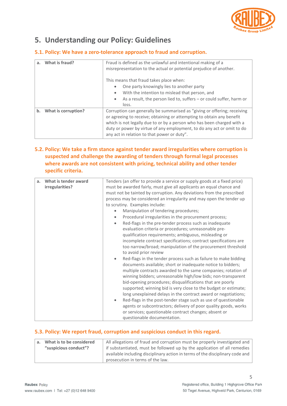

# <span id="page-5-0"></span>**5. Understanding our Policy: Guidelines**

#### <span id="page-5-1"></span>**5.1. Policy: We have a zero-tolerance approach to fraud and corruption.**

| What is fraud?<br>a.      | Fraud is defined as the unlawful and intentional making of a<br>misrepresentation to the actual or potential prejudice of another.                                                                                                                                                                                                                   |  |  |  |
|---------------------------|------------------------------------------------------------------------------------------------------------------------------------------------------------------------------------------------------------------------------------------------------------------------------------------------------------------------------------------------------|--|--|--|
|                           | This means that fraud takes place when:                                                                                                                                                                                                                                                                                                              |  |  |  |
|                           | One party knowingly lies to another party                                                                                                                                                                                                                                                                                                            |  |  |  |
|                           | With the intention to mislead that person, and<br>$\bullet$                                                                                                                                                                                                                                                                                          |  |  |  |
|                           | As a result, the person lied to, suffers $-$ or could suffer, harm or<br>$\bullet$<br>loss.                                                                                                                                                                                                                                                          |  |  |  |
| What is corruption?<br>b. | Corruption can generally be summarised as "giving or offering; receiving<br>or agreeing to receive; obtaining or attempting to obtain any benefit<br>which is not legally due to or by a person who has been charged with a<br>duty or power by virtue of any employment, to do any act or omit to do<br>any act in relation to that power or duty". |  |  |  |

#### <span id="page-5-2"></span>**5.2. Policy: We take a firm stance against tender award irregularities where corruption is suspected and challenge the awarding of tenders through formal legal processes where awards are not consistent with pricing, technical ability and other tender specific criteria.**

| a <sub>r</sub> | What is tender award | Tenders (an offer to provide a service or supply goods at a fixed price)    |  |  |  |
|----------------|----------------------|-----------------------------------------------------------------------------|--|--|--|
|                | irregularities?      | must be awarded fairly, must give all applicants an equal chance and        |  |  |  |
|                |                      | must not be tainted by corruption. Any deviations from the prescribed       |  |  |  |
|                |                      | process may be considered an irregularity and may open the tender up        |  |  |  |
|                |                      | to scrutiny. Examples include:                                              |  |  |  |
|                |                      | Manipulation of tendering procedures;<br>$\bullet$                          |  |  |  |
|                |                      | Procedural irregularities in the procurement process;<br>$\bullet$          |  |  |  |
|                |                      | Red-flags in the pre-tender process such as inadequate<br>$\bullet$         |  |  |  |
|                |                      | evaluation criteria or procedures; unreasonable pre-                        |  |  |  |
|                |                      | qualification requirements; ambiguous, misleading or                        |  |  |  |
|                |                      | incomplete contract specifications; contract specifications are             |  |  |  |
|                |                      | too narrow/broad; manipulation of the procurement threshold                 |  |  |  |
|                |                      | to avoid prior review                                                       |  |  |  |
|                |                      | Red-flags in the tender process such as failure to make bidding             |  |  |  |
|                |                      | documents available; short or inadequate notice to bidders;                 |  |  |  |
|                |                      |                                                                             |  |  |  |
|                |                      | multiple contracts awarded to the same companies; rotation of               |  |  |  |
|                |                      | winning bidders; unreasonable high/low bids; non-transparent                |  |  |  |
|                |                      | bid-opening procedures; disqualifications that are poorly                   |  |  |  |
|                |                      | supported; winning bid is very close to the budget or estimate;             |  |  |  |
|                |                      | long unexplained delays in the contract award or negotiations;              |  |  |  |
|                |                      | Red-flags in the post-tender stage such as use of questionable<br>$\bullet$ |  |  |  |
|                |                      | agents or subcontractors; delivery of poor quality goods, works             |  |  |  |
|                |                      | or services; questionable contract changes; absent or                       |  |  |  |
|                |                      | questionable documentation.                                                 |  |  |  |

#### <span id="page-5-3"></span>**5.3. Policy: We report fraud, corruption and suspicious conduct in this regard.**

|                       | a. What is to be considered | All allegations of fraud and corruption must be properly investigated and     |  |  |
|-----------------------|-----------------------------|-------------------------------------------------------------------------------|--|--|
| "suspicious conduct"? |                             | if substantiated, must be followed up by the application of all remedies      |  |  |
|                       |                             | available including disciplinary action in terms of the disciplinary code and |  |  |
|                       |                             | prosecution in terms of the law.                                              |  |  |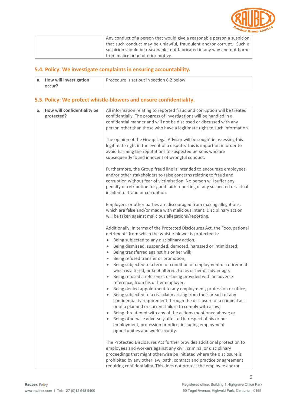

| Any conduct of a person that would give a reasonable person a suspicion $\vert$ |
|---------------------------------------------------------------------------------|
| that such conduct may be unlawful, fraudulent and/or corrupt. Such a $ $        |
| suspicion should be reasonable, not fabricated in any way and not borne $\vert$ |
| from malice or an ulterior motive.                                              |

#### <span id="page-6-0"></span>**5.4. Policy: We investigate complaints in ensuring accountability.**

| a. How will investigation | Procedure is set out in section 6.2 below. |
|---------------------------|--------------------------------------------|
| occur?                    |                                            |

#### <span id="page-6-1"></span>**5.5. Policy: We protect whistle-blowers and ensure confidentiality.**

| How will confidentiality be<br>a.<br>protected? | All information relating to reported fraud and corruption will be treated<br>confidentially. The progress of investigations will be handled in a<br>confidential manner and will not be disclosed or discussed with any<br>person other than those who have a legitimate right to such information.<br>The opinion of the Group Legal Advisor will be sought in assessing this<br>legitimate right in the event of a dispute. This is important in order to<br>avoid harming the reputations of suspected persons who are<br>subsequently found innocent of wrongful conduct.                                                                                                                                                                                                                                                                                                                                                                                                                                                                                                                                                                                                                                                              |
|-------------------------------------------------|--------------------------------------------------------------------------------------------------------------------------------------------------------------------------------------------------------------------------------------------------------------------------------------------------------------------------------------------------------------------------------------------------------------------------------------------------------------------------------------------------------------------------------------------------------------------------------------------------------------------------------------------------------------------------------------------------------------------------------------------------------------------------------------------------------------------------------------------------------------------------------------------------------------------------------------------------------------------------------------------------------------------------------------------------------------------------------------------------------------------------------------------------------------------------------------------------------------------------------------------|
|                                                 | Furthermore, the Group fraud line is intended to encourage employees<br>and/or other stakeholders to raise concerns relating to fraud and<br>corruption without fear of victimisation. No person will suffer any<br>penalty or retribution for good faith reporting of any suspected or actual<br>incident of fraud or corruption.                                                                                                                                                                                                                                                                                                                                                                                                                                                                                                                                                                                                                                                                                                                                                                                                                                                                                                         |
|                                                 | Employees or other parties are discouraged from making allegations,<br>which are false and/or made with malicious intent. Disciplinary action<br>will be taken against malicious allegations/reporting.                                                                                                                                                                                                                                                                                                                                                                                                                                                                                                                                                                                                                                                                                                                                                                                                                                                                                                                                                                                                                                    |
|                                                 | Additionally, in terms of the Protected Disclosures Act, the "occupational<br>detriment" from which the whistle-blower is protected is:<br>Being subjected to any disciplinary action;<br>$\bullet$<br>Being dismissed, suspended, demoted, harassed or intimidated;<br>$\bullet$<br>Being transferred against his or her will;<br>$\bullet$<br>Being refused transfer or promotion;<br>$\bullet$<br>Being subjected to a term or condition of employment or retirement<br>$\bullet$<br>which is altered, or kept altered, to his or her disadvantage;<br>Being refused a reference, or being provided with an adverse<br>$\bullet$<br>reference, from his or her employer;<br>Being denied appointment to any employment, profession or office;<br>$\bullet$<br>Being subjected to a civil claim arising from their breach of any<br>$\bullet$<br>confidentiality requirement through the disclosure of a criminal act<br>or of a planned or current failure to comply with a law;<br>Being threatened with any of the actions mentioned above; or<br>$\bullet$<br>Being otherwise adversely affected in respect of his or her<br>$\bullet$<br>employment, profession or office, including employment<br>opportunities and work security. |
|                                                 | The Protected Disclosures Act further provides additional protection to<br>employees and workers against any civil, criminal or disciplinary<br>proceedings that might otherwise be initiated where the disclosure is<br>prohibited by any other law, oath, contract and practice or agreement<br>requiring confidentiality. This does not protect the employee and/or                                                                                                                                                                                                                                                                                                                                                                                                                                                                                                                                                                                                                                                                                                                                                                                                                                                                     |

6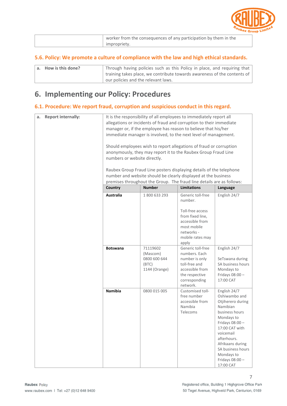

| worker from the consequences of any participation by them in the |
|------------------------------------------------------------------|
| impropriety.                                                     |

#### <span id="page-7-0"></span>**5.6. Policy: We promote a culture of compliance with the law and high ethical standards.**

| $\vert$ a. How is this done? | Through having policies such as this Policy in place, and requiring that |
|------------------------------|--------------------------------------------------------------------------|
|                              | training takes place, we contribute towards awareness of the contents of |
|                              | our policies and the relevant laws.                                      |

# <span id="page-7-1"></span>**6. Implementing our Policy: Procedures**

#### <span id="page-7-2"></span>**6.1. Procedure: We report fraud, corruption and suspicious conduct in this regard.**

| <b>Report internally:</b><br>a. | It is the responsibility of all employees to immediately report all<br>allegations or incidents of fraud and corruption to their immediate<br>manager or, if the employee has reason to believe that his/her<br>immediate manager is involved, to the next level of management.<br>Should employees wish to report allegations of fraud or corruption<br>anonymously, they may report it to the Raubex Group Fraud Line<br>numbers or website directly.<br>Raubex Group Fraud Line posters displaying details of the telephone<br>number and website should be clearly displayed at the business<br>premises throughout the Group. The fraud line details are as follows: |                                                                |                                                                                                                                                   |                                                                                                                                                                                                                                                      |
|---------------------------------|---------------------------------------------------------------------------------------------------------------------------------------------------------------------------------------------------------------------------------------------------------------------------------------------------------------------------------------------------------------------------------------------------------------------------------------------------------------------------------------------------------------------------------------------------------------------------------------------------------------------------------------------------------------------------|----------------------------------------------------------------|---------------------------------------------------------------------------------------------------------------------------------------------------|------------------------------------------------------------------------------------------------------------------------------------------------------------------------------------------------------------------------------------------------------|
|                                 | Country                                                                                                                                                                                                                                                                                                                                                                                                                                                                                                                                                                                                                                                                   | <b>Number</b>                                                  | <b>Limitations</b>                                                                                                                                | Language                                                                                                                                                                                                                                             |
|                                 | <b>Australia</b>                                                                                                                                                                                                                                                                                                                                                                                                                                                                                                                                                                                                                                                          | 1800 633 293                                                   | Generic toll-free<br>number.<br>Toll-free access<br>from fixed line,<br>accessible from<br>most mobile<br>networks -<br>mobile rates may<br>apply | English 24/7                                                                                                                                                                                                                                         |
|                                 | <b>Botswana</b>                                                                                                                                                                                                                                                                                                                                                                                                                                                                                                                                                                                                                                                           | 71119602<br>(Mascom)<br>0800 600 644<br>(BTC)<br>1144 (Orange) | Generic toll-free<br>numbers. Each<br>number is only<br>toll-free and<br>accessible from<br>the respective<br>corresponding<br>network.           | English 24/7<br>SeTswana during<br>SA business hours<br>Mondays to<br>Fridays 08:00-<br>17:00 CAT                                                                                                                                                    |
|                                 | <b>Namibia</b>                                                                                                                                                                                                                                                                                                                                                                                                                                                                                                                                                                                                                                                            | 0800 015 005                                                   | Customised toll-<br>free number<br>accessible from<br>Namibia<br>Telecoms                                                                         | English 24/7<br>Oshiwambo and<br>Otjiherero during<br>Namibian<br>business hours<br>Mondays to<br>Fridays 08:00-<br>17:00 CAT with<br>voicemail<br>afterhours.<br>Afrikaans during<br>SA business hours<br>Mondays to<br>Fridays 08:00-<br>17:00 CAT |

7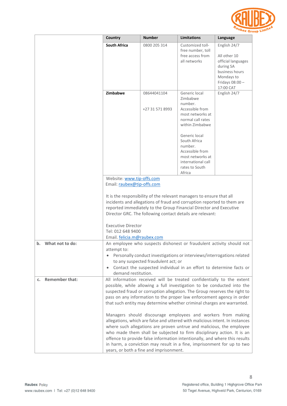

|                             | Country                                                                                                                                                                                                                                                                                                                                                                                                                                                                                           | <b>Number</b>                  | <b>Limitations</b>                                                                                                                | Language                                                                                                                       |  |
|-----------------------------|---------------------------------------------------------------------------------------------------------------------------------------------------------------------------------------------------------------------------------------------------------------------------------------------------------------------------------------------------------------------------------------------------------------------------------------------------------------------------------------------------|--------------------------------|-----------------------------------------------------------------------------------------------------------------------------------|--------------------------------------------------------------------------------------------------------------------------------|--|
|                             | <b>South Africa</b>                                                                                                                                                                                                                                                                                                                                                                                                                                                                               | 0800 205 314                   | Customized toll-<br>free number, toll<br>free access from<br>all networks                                                         | English 24/7<br>All other 10<br>official languages<br>during SA<br>business hours<br>Mondays to<br>Fridays 08:00-<br>17:00 CAT |  |
|                             | Zimbabwe                                                                                                                                                                                                                                                                                                                                                                                                                                                                                          | 08644041104<br>+27 31 571 8993 | Generic local<br>Zimbabwe<br>number.<br>Accessible from<br>most networks at<br>normal call rates<br>within Zimbabwe               | English 24/7                                                                                                                   |  |
|                             |                                                                                                                                                                                                                                                                                                                                                                                                                                                                                                   |                                | Generic local<br>South Africa<br>number.<br>Accessible from<br>most networks at<br>international call<br>rates to South<br>Africa |                                                                                                                                |  |
|                             | Website: www.tip-offs.com                                                                                                                                                                                                                                                                                                                                                                                                                                                                         |                                |                                                                                                                                   |                                                                                                                                |  |
|                             | Email: raubex@tip-offs.com<br>It is the responsibility of the relevant managers to ensure that all<br>incidents and allegations of fraud and corruption reported to them are<br>reported immediately to the Group Financial Director and Executive<br>Director GRC. The following contact details are relevant:<br><b>Executive Director</b><br>Tel: 012 648 9400<br>Email. felicia.m@raubex.com                                                                                                  |                                |                                                                                                                                   |                                                                                                                                |  |
| What not to do:<br>b.       | An employee who suspects dishonest or fraudulent activity should not<br>attempt to:<br>Personally conduct investigations or interviews/interrogations related<br>to any suspected fraudulent act; or<br>Contact the suspected individual in an effort to determine facts or<br>$\bullet$<br>demand restitution.                                                                                                                                                                                   |                                |                                                                                                                                   |                                                                                                                                |  |
| <b>Remember that:</b><br>c. | All information received will be treated confidentially to the extent<br>possible, while allowing a full investigation to be conducted into the<br>suspected fraud or corruption allegation. The Group reserves the right to<br>pass on any information to the proper law enforcement agency in order<br>that such entity may determine whether criminal charges are warranted.                                                                                                                   |                                |                                                                                                                                   |                                                                                                                                |  |
|                             | Managers should discourage employees and workers from making<br>allegations, which are false and uttered with malicious intent. In instances<br>where such allegations are proven untrue and malicious, the employee<br>who made them shall be subjected to firm disciplinary action. It is an<br>offence to provide false information intentionally, and where this results<br>in harm, a conviction may result in a fine, imprisonment for up to two<br>years, or both a fine and imprisonment. |                                |                                                                                                                                   |                                                                                                                                |  |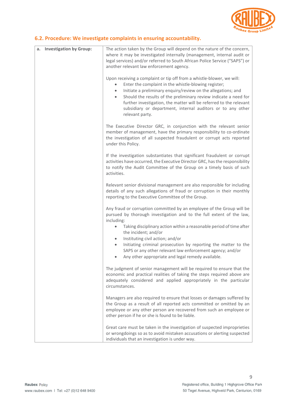

#### <span id="page-9-0"></span>**6.2. Procedure: We investigate complaints in ensuring accountability.**

| a. Investigation by Group: | The action taken by the Group will depend on the nature of the concern,<br>where it may be investigated internally (management, internal audit or<br>legal services) and/or referred to South African Police Service ("SAPS") or<br>another relevant law enforcement agency.                                                                                                                                                                         |  |
|----------------------------|------------------------------------------------------------------------------------------------------------------------------------------------------------------------------------------------------------------------------------------------------------------------------------------------------------------------------------------------------------------------------------------------------------------------------------------------------|--|
|                            | Upon receiving a complaint or tip off from a whistle-blower, we will:<br>Enter the complaint in the whistle-blowing register;<br>Initiate a preliminary enquiry/review on the allegations; and<br>$\bullet$<br>Should the results of the preliminary review indicate a need for<br>$\bullet$<br>further investigation, the matter will be referred to the relevant<br>subsidiary or department, internal auditors or to any other<br>relevant party. |  |
|                            | The Executive Director GRC, in conjunction with the relevant senior<br>member of management, have the primary responsibility to co-ordinate<br>the investigation of all suspected fraudulent or corrupt acts reported<br>under this Policy.                                                                                                                                                                                                          |  |
|                            | If the investigation substantiates that significant fraudulent or corrupt<br>activities have occurred, the Executive Director GRC, has the responsibility<br>to notify the Audit Committee of the Group on a timely basis of such<br>activities.                                                                                                                                                                                                     |  |
|                            | Relevant senior divisional management are also responsible for including<br>details of any such allegations of fraud or corruption in their monthly<br>reporting to the Executive Committee of the Group.                                                                                                                                                                                                                                            |  |
|                            | Any fraud or corruption committed by an employee of the Group will be<br>pursued by thorough investigation and to the full extent of the law,<br>including:                                                                                                                                                                                                                                                                                          |  |
|                            | Taking disciplinary action within a reasonable period of time after<br>the incident; and/or<br>Instituting civil action; and/or<br>$\bullet$                                                                                                                                                                                                                                                                                                         |  |
|                            | Initiating criminal prosecution by reporting the matter to the<br>$\bullet$<br>SAPS or any other relevant law enforcement agency; and/or<br>Any other appropriate and legal remedy available.<br>$\bullet$                                                                                                                                                                                                                                           |  |
|                            | The judgment of senior management will be required to ensure that the<br>economic and practical realities of taking the steps required above are<br>adequately considered and applied appropriately in the particular<br>circumstances.                                                                                                                                                                                                              |  |
|                            | Managers are also required to ensure that losses or damages suffered by<br>the Group as a result of all reported acts committed or omitted by an<br>employee or any other person are recovered from such an employee or<br>other person if he or she is found to be liable.                                                                                                                                                                          |  |
|                            | Great care must be taken in the investigation of suspected improprieties<br>or wrongdoings so as to avoid mistaken accusations or alerting suspected<br>individuals that an investigation is under way.                                                                                                                                                                                                                                              |  |